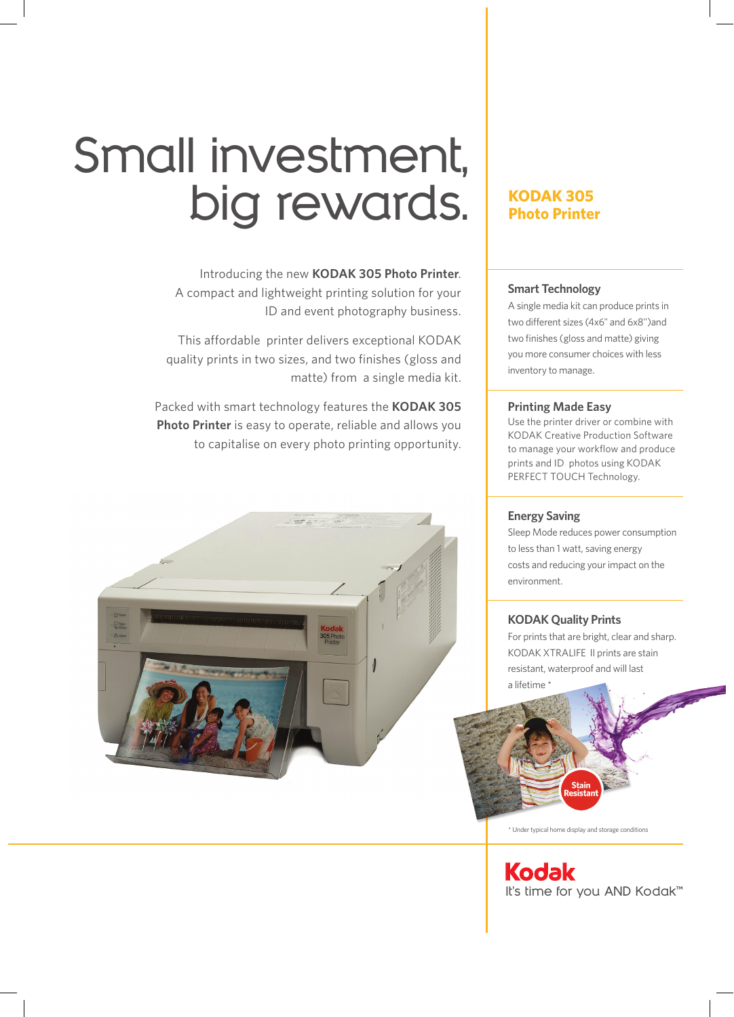# **Small investment, big rewards.**

Introducing the new **KODAK 305 Photo Printer**. A compact and lightweight printing solution for your ID and event photography business.

This affordable printer delivers exceptional KODAK quality prints in two sizes, and two finishes (gloss and matte) from a single media kit.

Packed with smart technology features the **KODAK 305 Photo Printer** is easy to operate, reliable and allows you to capitalise on every photo printing opportunity.



### **KODAK 305 Photo Printer**

#### **Smart Technology**

A single media kit can produce prints in two different sizes (4x6" and 6x8")and two finishes (gloss and matte) giving you more consumer choices with less inventory to manage.

#### **Printing Made Easy**

Use the printer driver or combine with KODAK Creative Production Software to manage your workflow and produce prints and ID photos using KODAK PERFECT TOUCH Technology.

#### **Energy Saving**

Sleep Mode reduces power consumption to less than 1 watt, saving energy costs and reducing your impact on the environment.

#### **KODAK Quality Prints**

For prints that are bright, clear and sharp. KODAK XTRALIFE II prints are stain resistant, waterproof and will last a lifetime \*



\* Under typical home display and storage conditions

**Kodak It's time for you AND Kodak™**